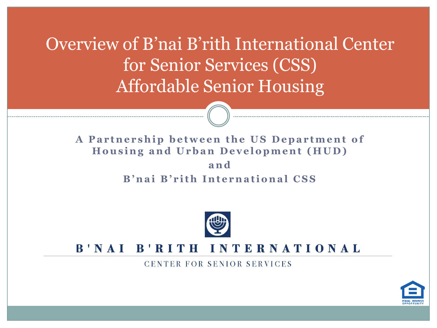Overview of B'nai B'rith International Center for Senior Services (CSS) Affordable Senior Housing

#### A Partnership between the US Department of **Housing and Urban Development (HUD) a n d B'nai B'rith International CSS**



#### B'NAI B'RITH INTERNATIONAL

CENTER FOR SENIOR SERVICES

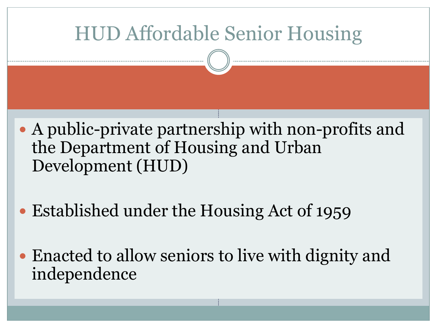#### HUD Affordable Senior Housing

- A public-private partnership with non-profits and the Department of Housing and Urban Development (HUD)
- Established under the Housing Act of 1959
- Enacted to allow seniors to live with dignity and independence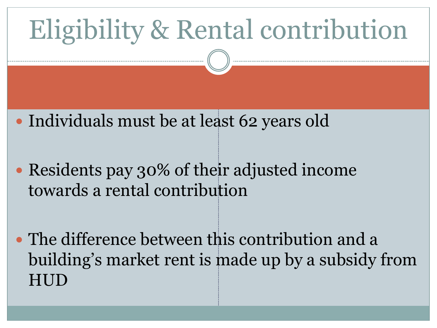# Eligibility & Rental contribution

- Individuals must be at least 62 years old
- Residents pay 30% of their adjusted income towards a rental contribution
- The difference between this contribution and a building's market rent is made up by a subsidy from HUD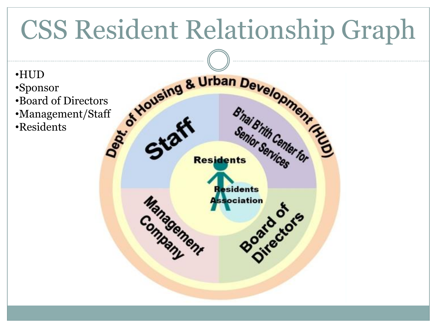# CSS Resident Relationship Graph



- 
- •Management/Staff
- •Residents

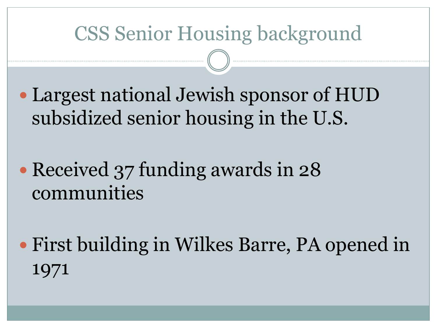#### CSS Senior Housing background

- Largest national Jewish sponsor of HUD subsidized senior housing in the U.S.
- Received 37 funding awards in 28 communities
- First building in Wilkes Barre, PA opened in 1971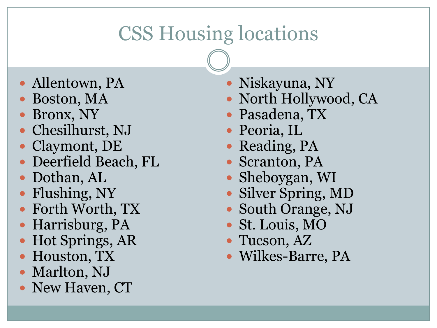#### CSS Housing locations

- Allentown, PA
- Boston, MA
- Bronx, NY
- Chesilhurst, NJ
- Claymont, DE
- Deerfield Beach, FL
- Dothan, AL
- Flushing, NY
- Forth Worth, TX
- Harrisburg, PA
- Hot Springs, AR
- Houston, TX
- Marlton, NJ
- New Haven, CT
- Niskayuna, NY
- North Hollywood, CA
- Pasadena, TX
- Peoria, IL
- Reading, PA
- Scranton, PA
- Sheboygan, WI
- Silver Spring, MD
- South Orange, NJ
- St. Louis, MO
- Tucson, AZ
- Wilkes-Barre, PA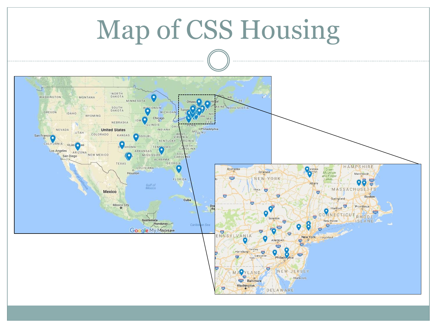# Map of CSS Housing

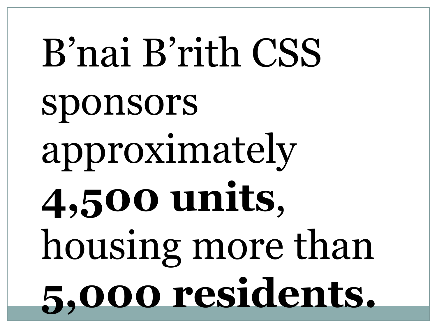# B'nai B'rith CSS sponsors approximately **4,500 units**, housing more than **5,000 residents.**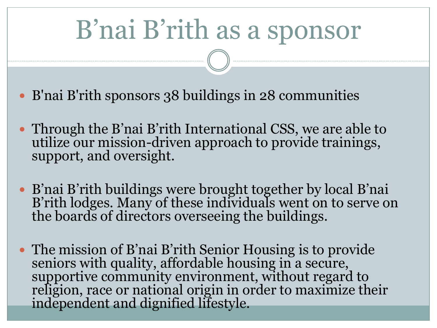# B'nai B'rith as a sponsor

- B'nai B'rith sponsors 38 buildings in 28 communities
- Through the B'nai B'rith International CSS, we are able to utilize our mission-driven approach to provide trainings, support, and oversight.
- B'nai B'rith buildings were brought together by local B'nai B'rith lodges. Many of these individuals went on to serve on the boards of directors overseeing the buildings.
- The mission of B'nai B'rith Senior Housing is to provide seniors with quality, affordable housing in a secure, supportive community environment, without regard to religion, race or national origin in order to maximize their independent and dignified lifestyle.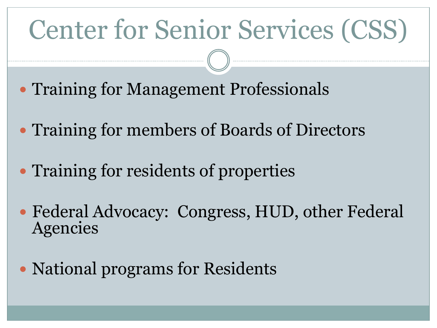# Center for Senior Services (CSS)

- Training for Management Professionals
- Training for members of Boards of Directors
- Training for residents of properties
- Federal Advocacy: Congress, HUD, other Federal Agencies
- National programs for Residents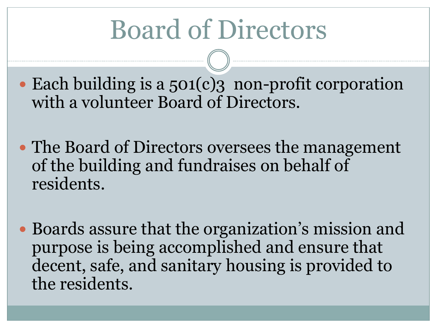# Board of Directors

- Each building is a 501(c)? non-profit corporation with a volunteer Board of Directors.
- The Board of Directors oversees the management of the building and fundraises on behalf of residents.
- Boards assure that the organization's mission and purpose is being accomplished and ensure that decent, safe, and sanitary housing is provided to the residents.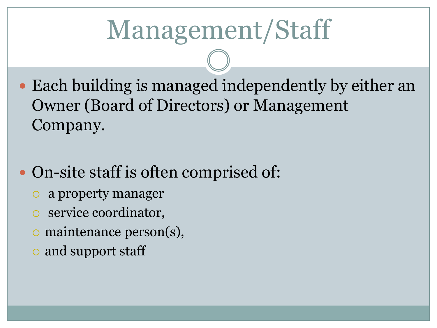# Management/Staff

- Each building is managed independently by either an Owner (Board of Directors) or Management Company.
- On-site staff is often comprised of:
	- a property manager
	- service coordinator,
	- maintenance person(s),
	- and support staff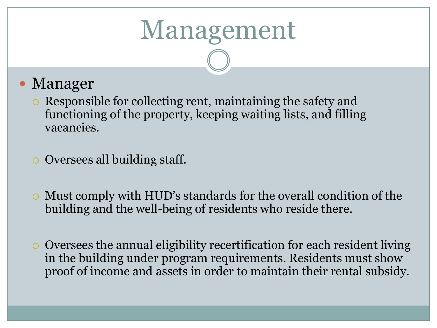### Management

#### • Manager

- Responsible for collecting rent, maintaining the safety and functioning of the property, keeping waiting lists, and filling vacancies.
- Oversees all building staff.
- Must comply with HUD's standards for the overall condition of the building and the well-being of residents who reside there.
- Oversees the annual eligibility recertification for each resident living in the building under program requirements. Residents must show proof of income and assets in order to maintain their rental subsidy.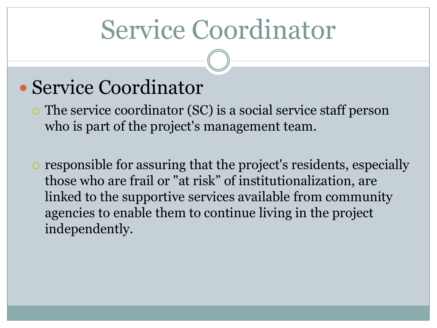### Service Coordinator

#### Service Coordinator

 The service coordinator (SC) is a social service staff person who is part of the project's management team.

 responsible for assuring that the project's residents, especially those who are frail or "at risk" of institutionalization, are linked to the supportive services available from community agencies to enable them to continue living in the project independently.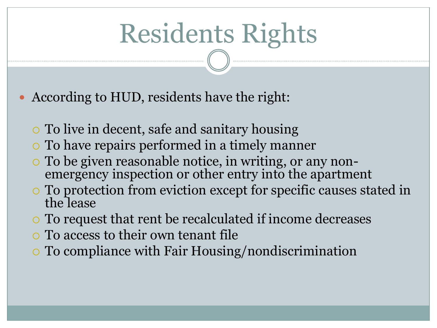# Residents Rights

According to HUD, residents have the right:

- To live in decent, safe and sanitary housing
- To have repairs performed in a timely manner
- To be given reasonable notice, in writing, or any nonemergency inspection or other entry into the apartment
- To protection from eviction except for specific causes stated in the lease
- To request that rent be recalculated if income decreases
- To access to their own tenant file
- To compliance with Fair Housing/nondiscrimination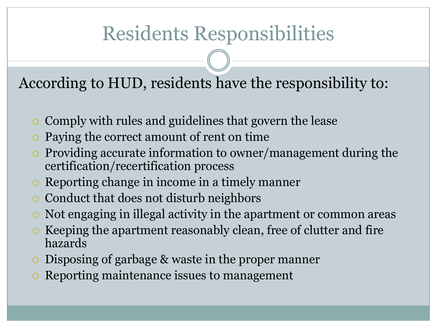#### Residents Responsibilities

According to HUD, residents have the responsibility to:

- Comply with rules and guidelines that govern the lease
- Paying the correct amount of rent on time
- $\circ$  Providing accurate information to owner/management during the certification/recertification process
- Reporting change in income in a timely manner
- Conduct that does not disturb neighbors
- Not engaging in illegal activity in the apartment or common areas
- Keeping the apartment reasonably clean, free of clutter and fire hazards
- Disposing of garbage & waste in the proper manner
- Reporting maintenance issues to management